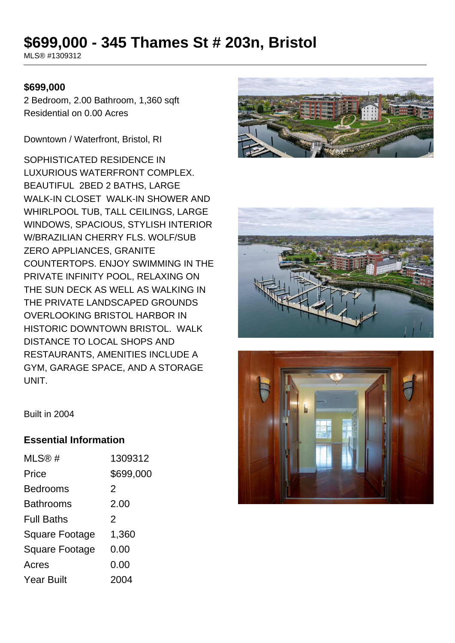# **\$699,000 - 345 Thames St # 203n, Bristol**

MLS® #1309312

#### **\$699,000**

2 Bedroom, 2.00 Bathroom, 1,360 sqft Residential on 0.00 Acres

Downtown / Waterfront, Bristol, RI

SOPHISTICATED RESIDENCE IN LUXURIOUS WATERFRONT COMPLEX. BEAUTIFUL 2BED 2 BATHS, LARGE WALK-IN CLOSET WALK-IN SHOWER AND WHIRLPOOL TUB, TALL CEILINGS, LARGE WINDOWS, SPACIOUS, STYLISH INTERIOR W/BRAZILIAN CHERRY FLS. WOLF/SUB ZERO APPLIANCES, GRANITE COUNTERTOPS. ENJOY SWIMMING IN THE PRIVATE INFINITY POOL, RELAXING ON THE SUN DECK AS WELL AS WALKING IN THE PRIVATE LANDSCAPED GROUNDS OVERLOOKING BRISTOL HARBOR IN HISTORIC DOWNTOWN BRISTOL. WALK DISTANCE TO LOCAL SHOPS AND RESTAURANTS, AMENITIES INCLUDE A GYM, GARAGE SPACE, AND A STORAGE UNIT.







Built in 2004

#### **Essential Information**

| MLS@#                 | 1309312   |
|-----------------------|-----------|
| Price                 | \$699,000 |
| <b>Bedrooms</b>       | 2         |
| <b>Bathrooms</b>      | 2.00      |
| <b>Full Baths</b>     | 2         |
| <b>Square Footage</b> | 1,360     |
| <b>Square Footage</b> | 0.00      |
| Acres                 | 0.00      |
| <b>Year Built</b>     | 2004      |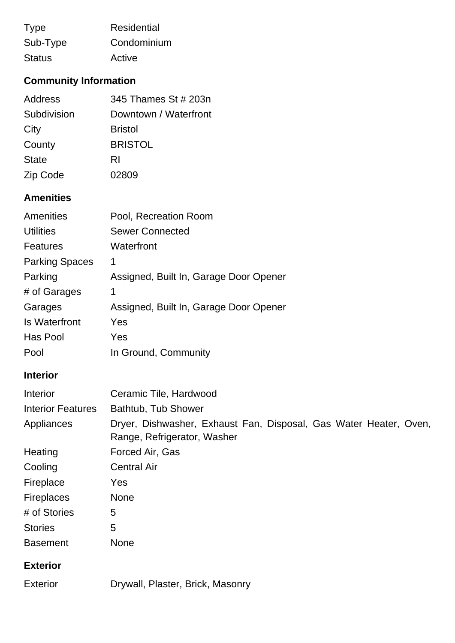| <b>Type</b>   | Residential |
|---------------|-------------|
| Sub-Type      | Condominium |
| <b>Status</b> | Active      |

### **Community Information**

| <b>Address</b> | 345 Thames St # 203n  |
|----------------|-----------------------|
| Subdivision    | Downtown / Waterfront |
| City           | <b>Bristol</b>        |
| County         | <b>BRISTOL</b>        |
| <b>State</b>   | RI                    |
| Zip Code       | 02809                 |

## **Amenities**

| <b>Amenities</b>      | Pool, Recreation Room                  |
|-----------------------|----------------------------------------|
| <b>Utilities</b>      | <b>Sewer Connected</b>                 |
| <b>Features</b>       | Waterfront                             |
| <b>Parking Spaces</b> | 1                                      |
| Parking               | Assigned, Built In, Garage Door Opener |
| # of Garages          | 1                                      |
| Garages               | Assigned, Built In, Garage Door Opener |
| <b>Is Waterfront</b>  | Yes                                    |
| Has Pool              | Yes                                    |
| Pool                  | In Ground, Community                   |

### **Interior**

| Interior                 | Ceramic Tile, Hardwood                                                                           |
|--------------------------|--------------------------------------------------------------------------------------------------|
| <b>Interior Features</b> | Bathtub, Tub Shower                                                                              |
| Appliances               | Dryer, Dishwasher, Exhaust Fan, Disposal, Gas Water Heater, Oven,<br>Range, Refrigerator, Washer |
| Heating                  | Forced Air, Gas                                                                                  |
| Cooling                  | <b>Central Air</b>                                                                               |
| Fireplace                | Yes                                                                                              |
| <b>Fireplaces</b>        | <b>None</b>                                                                                      |
| # of Stories             | 5                                                                                                |
| <b>Stories</b>           | 5                                                                                                |
| <b>Basement</b>          | <b>None</b>                                                                                      |
| <b>Exterior</b>          |                                                                                                  |

Exterior Drywall, Plaster, Brick, Masonry